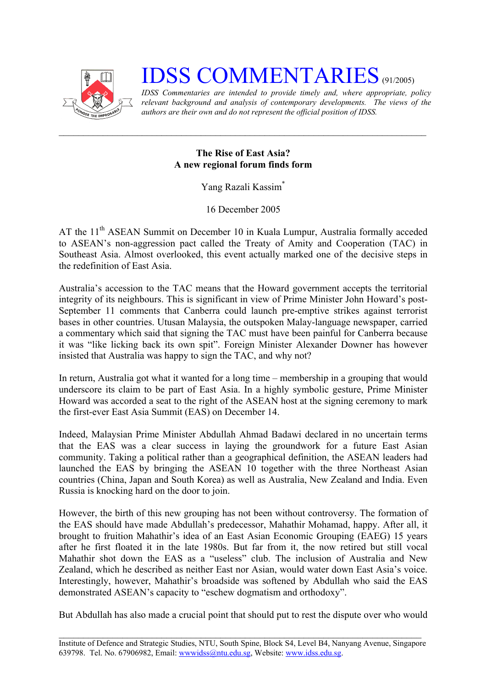

## **IDSS COMMENTARIES** (91/2005)

*IDSS Commentaries are intended to provide timely and, where appropriate, policy relevant background and analysis of contemporary developments. The views of the authors are their own and do not represent the official position of IDSS.* 

## **The Rise of East Asia? A new regional forum finds form**

Yang Razali Kassi[m\\*](#page-1-0)

16 December 2005

AT the 11<sup>th</sup> ASEAN Summit on December 10 in Kuala Lumpur, Australia formally acceded to ASEAN's non-aggression pact called the Treaty of Amity and Cooperation (TAC) in Southeast Asia. Almost overlooked, this event actually marked one of the decisive steps in the redefinition of East Asia.

Australia's accession to the TAC means that the Howard government accepts the territorial integrity of its neighbours. This is significant in view of Prime Minister John Howard's post-September 11 comments that Canberra could launch pre-emptive strikes against terrorist bases in other countries. Utusan Malaysia, the outspoken Malay-language newspaper, carried a commentary which said that signing the TAC must have been painful for Canberra because it was "like licking back its own spit". Foreign Minister Alexander Downer has however insisted that Australia was happy to sign the TAC, and why not?

In return, Australia got what it wanted for a long time – membership in a grouping that would underscore its claim to be part of East Asia. In a highly symbolic gesture, Prime Minister Howard was accorded a seat to the right of the ASEAN host at the signing ceremony to mark the first-ever East Asia Summit (EAS) on December 14.

Indeed, Malaysian Prime Minister Abdullah Ahmad Badawi declared in no uncertain terms that the EAS was a clear success in laying the groundwork for a future East Asian community. Taking a political rather than a geographical definition, the ASEAN leaders had launched the EAS by bringing the ASEAN 10 together with the three Northeast Asian countries (China, Japan and South Korea) as well as Australia, New Zealand and India. Even Russia is knocking hard on the door to join.

However, the birth of this new grouping has not been without controversy. The formation of the EAS should have made Abdullah's predecessor, Mahathir Mohamad, happy. After all, it brought to fruition Mahathir's idea of an East Asian Economic Grouping (EAEG) 15 years after he first floated it in the late 1980s. But far from it, the now retired but still vocal Mahathir shot down the EAS as a "useless" club. The inclusion of Australia and New Zealand, which he described as neither East nor Asian, would water down East Asia's voice. Interestingly, however, Mahathir's broadside was softened by Abdullah who said the EAS demonstrated ASEAN's capacity to "eschew dogmatism and orthodoxy".

But Abdullah has also made a crucial point that should put to rest the dispute over who would